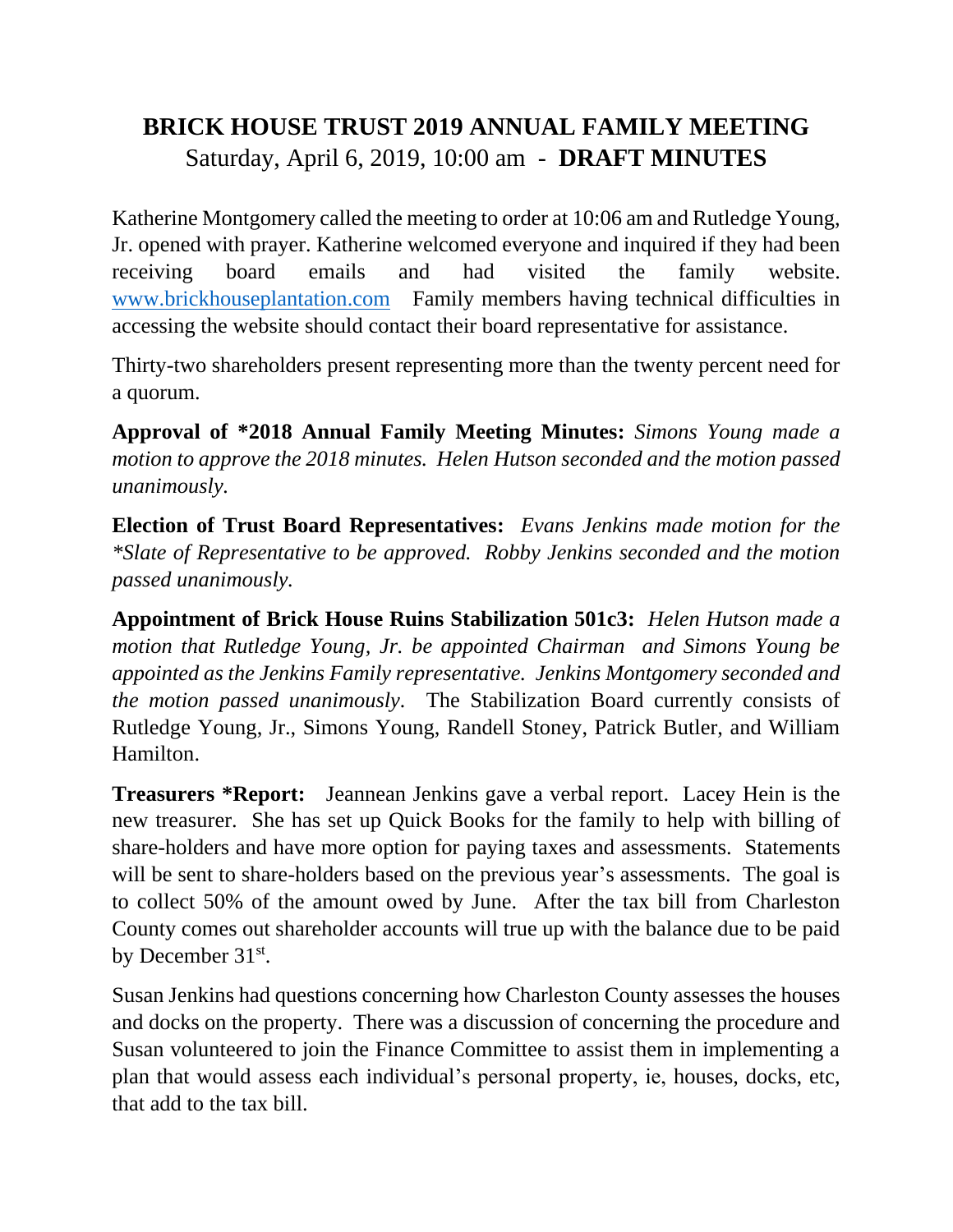## **BRICK HOUSE TRUST 2019 ANNUAL FAMILY MEETING** Saturday, April 6, 2019, 10:00 am - **DRAFT MINUTES**

Katherine Montgomery called the meeting to order at 10:06 am and Rutledge Young, Jr. opened with prayer. Katherine welcomed everyone and inquired if they had been receiving board emails and had visited the family website. [www.brickhouseplantation.com](http://www.brickhouseplantation.com/) Family members having technical difficulties in accessing the website should contact their board representative for assistance.

Thirty-two shareholders present representing more than the twenty percent need for a quorum.

**Approval of \*2018 Annual Family Meeting Minutes:** *Simons Young made a motion to approve the 2018 minutes. Helen Hutson seconded and the motion passed unanimously.*

**Election of Trust Board Representatives:** *Evans Jenkins made motion for the \*Slate of Representative to be approved. Robby Jenkins seconded and the motion passed unanimously.*

**Appointment of Brick House Ruins Stabilization 501c3:** *Helen Hutson made a motion that Rutledge Young, Jr. be appointed Chairman and Simons Young be appointed as the Jenkins Family representative. Jenkins Montgomery seconded and the motion passed unanimously.* The Stabilization Board currently consists of Rutledge Young, Jr., Simons Young, Randell Stoney, Patrick Butler, and William Hamilton.

**Treasurers \*Report:** Jeannean Jenkins gave a verbal report. Lacey Hein is the new treasurer. She has set up Quick Books for the family to help with billing of share-holders and have more option for paying taxes and assessments. Statements will be sent to share-holders based on the previous year's assessments. The goal is to collect 50% of the amount owed by June. After the tax bill from Charleston County comes out shareholder accounts will true up with the balance due to be paid by December 31<sup>st</sup>.

Susan Jenkins had questions concerning how Charleston County assesses the houses and docks on the property. There was a discussion of concerning the procedure and Susan volunteered to join the Finance Committee to assist them in implementing a plan that would assess each individual's personal property, ie, houses, docks, etc, that add to the tax bill.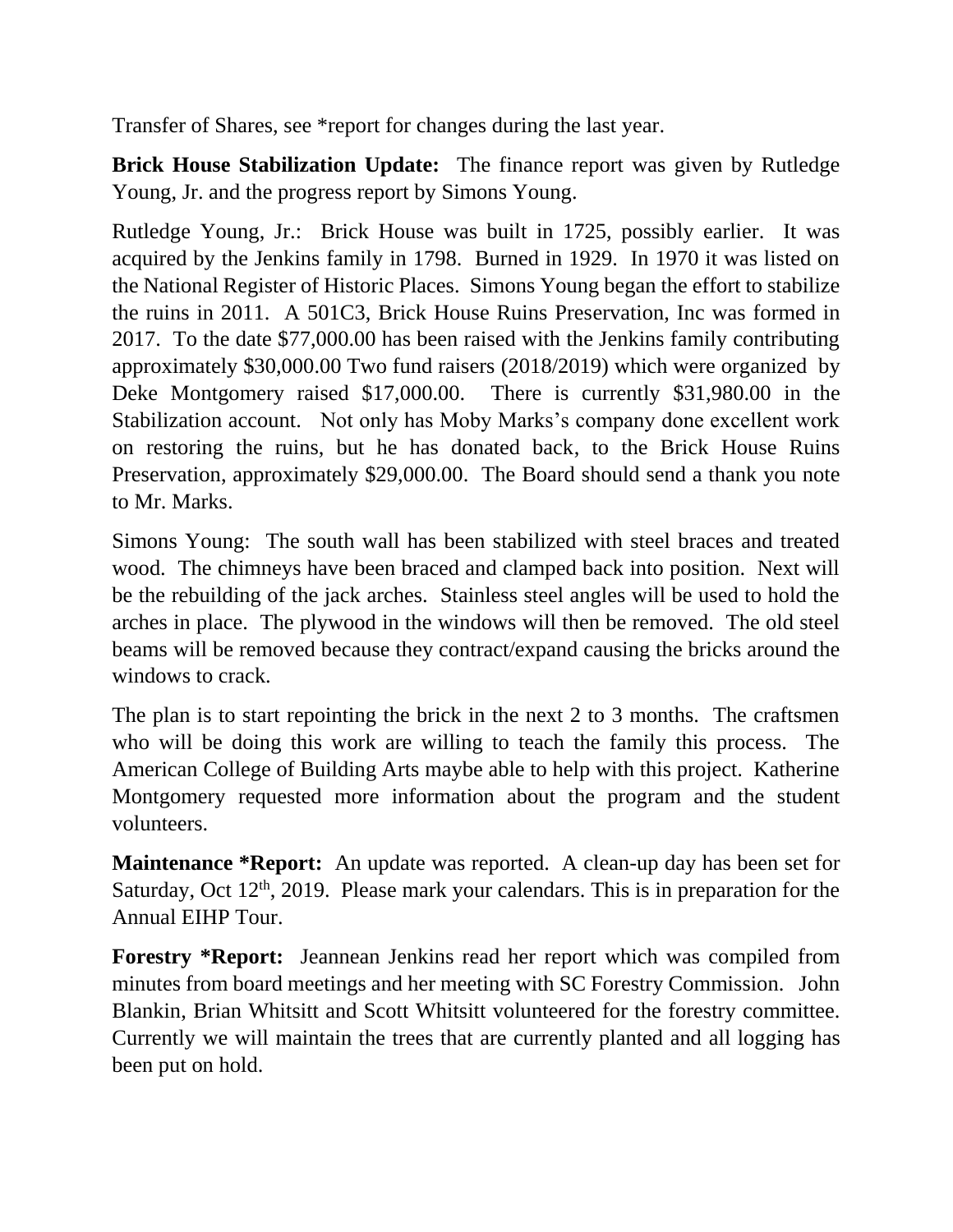Transfer of Shares, see \*report for changes during the last year.

**Brick House Stabilization Update:** The finance report was given by Rutledge Young, Jr. and the progress report by Simons Young.

Rutledge Young, Jr.: Brick House was built in 1725, possibly earlier. It was acquired by the Jenkins family in 1798. Burned in 1929. In 1970 it was listed on the National Register of Historic Places. Simons Young began the effort to stabilize the ruins in 2011. A 501C3, Brick House Ruins Preservation, Inc was formed in 2017. To the date \$77,000.00 has been raised with the Jenkins family contributing approximately \$30,000.00 Two fund raisers (2018/2019) which were organized by Deke Montgomery raised \$17,000.00. There is currently \$31,980.00 in the Stabilization account. Not only has Moby Marks's company done excellent work on restoring the ruins, but he has donated back, to the Brick House Ruins Preservation, approximately \$29,000.00. The Board should send a thank you note to Mr. Marks.

Simons Young: The south wall has been stabilized with steel braces and treated wood. The chimneys have been braced and clamped back into position. Next will be the rebuilding of the jack arches. Stainless steel angles will be used to hold the arches in place. The plywood in the windows will then be removed. The old steel beams will be removed because they contract/expand causing the bricks around the windows to crack.

The plan is to start repointing the brick in the next 2 to 3 months. The craftsmen who will be doing this work are willing to teach the family this process. The American College of Building Arts maybe able to help with this project. Katherine Montgomery requested more information about the program and the student volunteers.

**Maintenance \*Report:** An update was reported. A clean-up day has been set for Saturday, Oct  $12<sup>th</sup>$ , 2019. Please mark your calendars. This is in preparation for the Annual EIHP Tour.

**Forestry \*Report:** Jeannean Jenkins read her report which was compiled from minutes from board meetings and her meeting with SC Forestry Commission. John Blankin, Brian Whitsitt and Scott Whitsitt volunteered for the forestry committee. Currently we will maintain the trees that are currently planted and all logging has been put on hold.